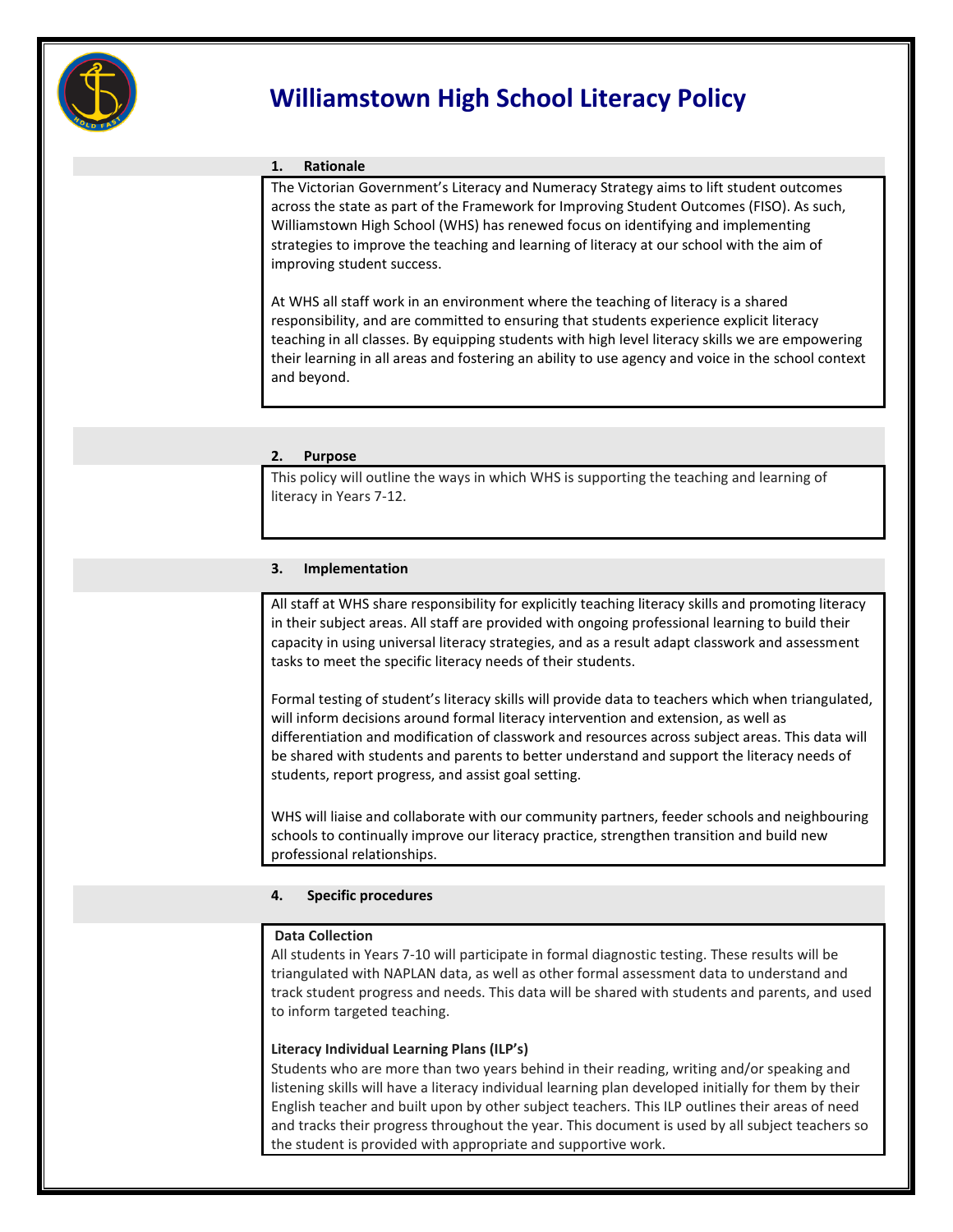

# **Williamstown High School Literacy Policy**

## **1. Rationale**

 The Victorian Government's Literacy and Numeracy Strategy aims to lift student outcomes across the state as part of the Framework for Improving Student Outcomes (FISO). As such, Williamstown High School (WHS) has renewed focus on identifying and implementing strategies to improve the teaching and learning of literacy at our school with the aim of improving student success.

At WHS all staff work in an environment where the teaching of literacy is a shared responsibility, and are committed to ensuring that students experience explicit literacy teaching in all classes. By equipping students with high level literacy skills we are empowering their learning in all areas and fostering an ability to use agency and voice in the school context and beyond.

## **2. Purpose**

This policy will outline the ways in which WHS is supporting the teaching and learning of literacy in Years 7-12.

## **3. Implementation**

All staff at WHS share responsibility for explicitly teaching literacy skills and promoting literacy in their subject areas. All staff are provided with ongoing professional learning to build their capacity in using universal literacy strategies, and as a result adapt classwork and assessment tasks to meet the specific literacy needs of their students.

Formal testing of student's literacy skills will provide data to teachers which when triangulated, will inform decisions around formal literacy intervention and extension, as well as differentiation and modification of classwork and resources across subject areas. This data will be shared with students and parents to better understand and support the literacy needs of students, report progress, and assist goal setting.

WHS will liaise and collaborate with our community partners, feeder schools and neighbouring schools to continually improve our literacy practice, strengthen transition and build new professional relationships.

## **4. Specific procedures**

## **Data Collection**

All students in Years 7-10 will participate in formal diagnostic testing. These results will be triangulated with NAPLAN data, as well as other formal assessment data to understand and track student progress and needs. This data will be shared with students and parents, and used to inform targeted teaching.

## **Literacy Individual Learning Plans (ILP's)**

Students who are more than two years behind in their reading, writing and/or speaking and listening skills will have a literacy individual learning plan developed initially for them by their English teacher and built upon by other subject teachers. This ILP outlines their areas of need and tracks their progress throughout the year. This document is used by all subject teachers so the student is provided with appropriate and supportive work.